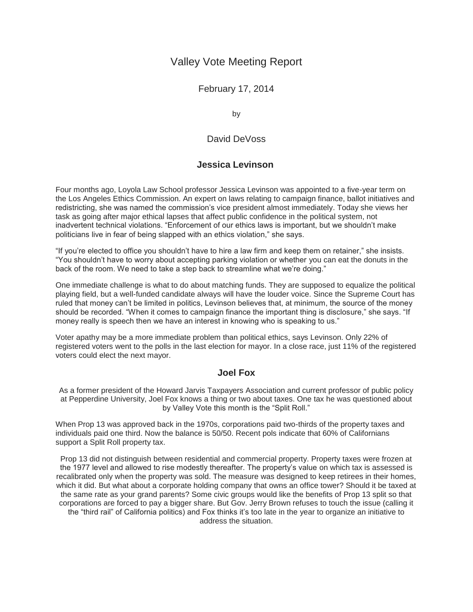# Valley Vote Meeting Report

February 17, 2014

by

## David DeVoss

### **Jessica Levinson**

Four months ago, Loyola Law School professor Jessica Levinson was appointed to a five-year term on the Los Angeles Ethics Commission. An expert on laws relating to campaign finance, ballot initiatives and redistricting, she was named the commission's vice president almost immediately. Today she views her task as going after major ethical lapses that affect public confidence in the political system, not inadvertent technical violations. "Enforcement of our ethics laws is important, but we shouldn't make politicians live in fear of being slapped with an ethics violation," she says.

"If you're elected to office you shouldn't have to hire a law firm and keep them on retainer," she insists. "You shouldn't have to worry about accepting parking violation or whether you can eat the donuts in the back of the room. We need to take a step back to streamline what we're doing."

One immediate challenge is what to do about matching funds. They are supposed to equalize the political playing field, but a well-funded candidate always will have the louder voice. Since the Supreme Court has ruled that money can't be limited in politics, Levinson believes that, at minimum, the source of the money should be recorded. "When it comes to campaign finance the important thing is disclosure," she says. "If money really is speech then we have an interest in knowing who is speaking to us."

Voter apathy may be a more immediate problem than political ethics, says Levinson. Only 22% of registered voters went to the polls in the last election for mayor. In a close race, just 11% of the registered voters could elect the next mayor.

### **Joel Fox**

As a former president of the Howard Jarvis Taxpayers Association and current professor of public policy at Pepperdine University, Joel Fox knows a thing or two about taxes. One tax he was questioned about by Valley Vote this month is the "Split Roll."

When Prop 13 was approved back in the 1970s, corporations paid two-thirds of the property taxes and individuals paid one third. Now the balance is 50/50. Recent pols indicate that 60% of Californians support a Split Roll property tax.

Prop 13 did not distinguish between residential and commercial property. Property taxes were frozen at the 1977 level and allowed to rise modestly thereafter. The property's value on which tax is assessed is recalibrated only when the property was sold. The measure was designed to keep retirees in their homes, which it did. But what about a corporate holding company that owns an office tower? Should it be taxed at the same rate as your grand parents? Some civic groups would like the benefits of Prop 13 split so that corporations are forced to pay a bigger share. But Gov. Jerry Brown refuses to touch the issue (calling it the "third rail" of California politics) and Fox thinks it's too late in the year to organize an initiative to address the situation.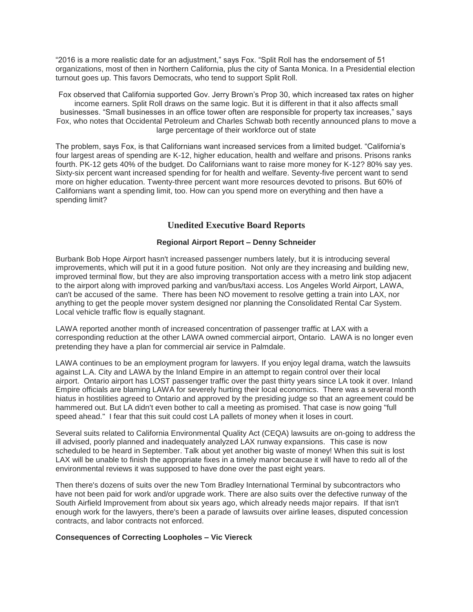"2016 is a more realistic date for an adjustment," says Fox. "Split Roll has the endorsement of 51 organizations, most of then in Northern California, plus the city of Santa Monica. In a Presidential election turnout goes up. This favors Democrats, who tend to support Split Roll.

Fox observed that California supported Gov. Jerry Brown's Prop 30, which increased tax rates on higher income earners. Split Roll draws on the same logic. But it is different in that it also affects small businesses. "Small businesses in an office tower often are responsible for property tax increases," says Fox, who notes that Occidental Petroleum and Charles Schwab both recently announced plans to move a large percentage of their workforce out of state

The problem, says Fox, is that Californians want increased services from a limited budget. "California's four largest areas of spending are K-12, higher education, health and welfare and prisons. Prisons ranks fourth. PK-12 gets 40% of the budget. Do Californians want to raise more money for K-12? 80% say yes. Sixty-six percent want increased spending for for health and welfare. Seventy-five percent want to send more on higher education. Twenty-three percent want more resources devoted to prisons. But 60% of Californians want a spending limit, too. How can you spend more on everything and then have a spending limit?

### **Unedited Executive Board Reports**

#### **Regional Airport Report – Denny Schneider**

Burbank Bob Hope Airport hasn't increased passenger numbers lately, but it is introducing several improvements, which will put it in a good future position. Not only are they increasing and building new, improved terminal flow, but they are also improving transportation access with a metro link stop adjacent to the airport along with improved parking and van/bus/taxi access. Los Angeles World Airport, LAWA, can't be accused of the same. There has been NO movement to resolve getting a train into LAX, nor anything to get the people mover system designed nor planning the Consolidated Rental Car System. Local vehicle traffic flow is equally stagnant.

LAWA reported another month of increased concentration of passenger traffic at LAX with a corresponding reduction at the other LAWA owned commercial airport, Ontario. LAWA is no longer even pretending they have a plan for commercial air service in Palmdale.

LAWA continues to be an employment program for lawyers. If you enjoy legal drama, watch the lawsuits against L.A. City and LAWA by the Inland Empire in an attempt to regain control over their local airport. Ontario airport has LOST passenger traffic over the past thirty years since LA took it over. Inland Empire officials are blaming LAWA for severely hurting their local economics. There was a several month hiatus in hostilities agreed to Ontario and approved by the presiding judge so that an agreement could be hammered out. But LA didn't even bother to call a meeting as promised. That case is now going "full speed ahead." I fear that this suit could cost LA pallets of money when it loses in court.

Several suits related to California Environmental Quality Act (CEQA) lawsuits are on-going to address the ill advised, poorly planned and inadequately analyzed LAX runway expansions. This case is now scheduled to be heard in September. Talk about yet another big waste of money! When this suit is lost LAX will be unable to finish the appropriate fixes in a timely manor because it will have to redo all of the environmental reviews it was supposed to have done over the past eight years.

Then there's dozens of suits over the new Tom Bradley International Terminal by subcontractors who have not been paid for work and/or upgrade work. There are also suits over the defective runway of the South Airfield Improvement from about six years ago, which already needs major repairs. If that isn't enough work for the lawyers, there's been a parade of lawsuits over airline leases, disputed concession contracts, and labor contracts not enforced.

#### **Consequences of Correcting Loopholes – Vic Viereck**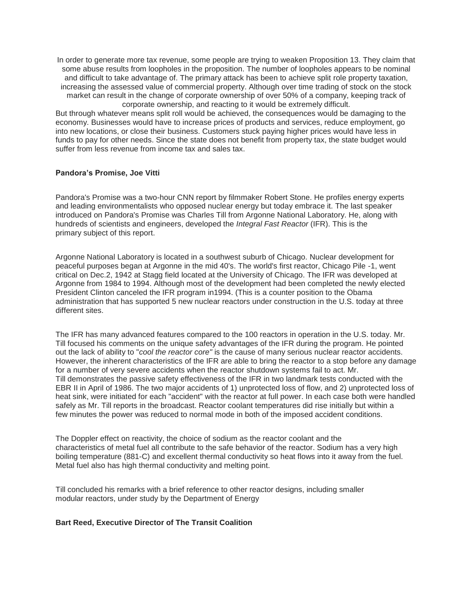In order to generate more tax revenue, some people are trying to weaken Proposition 13. They claim that some abuse results from loopholes in the proposition. The number of loopholes appears to be nominal and difficult to take advantage of. The primary attack has been to achieve split role property taxation, increasing the assessed value of commercial property. Although over time trading of stock on the stock market can result in the change of corporate ownership of over 50% of a company, keeping track of corporate ownership, and reacting to it would be extremely difficult.

But through whatever means split roll would be achieved, the consequences would be damaging to the economy. Businesses would have to increase prices of products and services, reduce employment, go into new locations, or close their business. Customers stuck paying higher prices would have less in funds to pay for other needs. Since the state does not benefit from property tax, the state budget would suffer from less revenue from income tax and sales tax.

#### **Pandora's Promise, Joe Vitti**

Pandora's Promise was a two-hour CNN report by filmmaker Robert Stone. He profiles energy experts and leading environmentalists who opposed nuclear energy but today embrace it. The last speaker introduced on Pandora's Promise was Charles Till from Argonne National Laboratory. He, along with hundreds of scientists and engineers, developed the *Integral Fast Reactor* (IFR). This is the primary subject of this report.

Argonne National Laboratory is located in a southwest suburb of Chicago. Nuclear development for peaceful purposes began at Argonne in the mid 40's. The world's first reactor, Chicago Pile -1, went critical on Dec.2, 1942 at Stagg field located at the University of Chicago. The IFR was developed at Argonne from 1984 to 1994. Although most of the development had been completed the newly elected President Clinton canceled the IFR program in1994. (This is a counter position to the Obama administration that has supported 5 new nuclear reactors under construction in the U.S. today at three different sites.

The IFR has many advanced features compared to the 100 reactors in operation in the U.S. today. Mr. Till focused his comments on the unique safety advantages of the IFR during the program. He pointed out the lack of ability to "*cool the reactor core"* is the cause of many serious nuclear reactor accidents. However, the inherent characteristics of the IFR are able to bring the reactor to a stop before any damage for a number of very severe accidents when the reactor shutdown systems fail to act. Mr. Till demonstrates the passive safety effectiveness of the IFR in two landmark tests conducted with the EBR II in April of 1986. The two major accidents of 1) unprotected loss of flow, and 2) unprotected loss of heat sink, were initiated for each "accident" with the reactor at full power. In each case both were handled safely as Mr. Till reports in the broadcast. Reactor coolant temperatures did rise initially but within a few minutes the power was reduced to normal mode in both of the imposed accident conditions.

The Doppler effect on reactivity, the choice of sodium as the reactor coolant and the characteristics of metal fuel all contribute to the safe behavior of the reactor. Sodium has a very high boiling temperature (881-C) and excellent thermal conductivity so heat flows into it away from the fuel. Metal fuel also has high thermal conductivity and melting point.

Till concluded his remarks with a brief reference to other reactor designs, including smaller modular reactors, under study by the Department of Energy

#### **Bart Reed, Executive Director of The Transit Coalition**